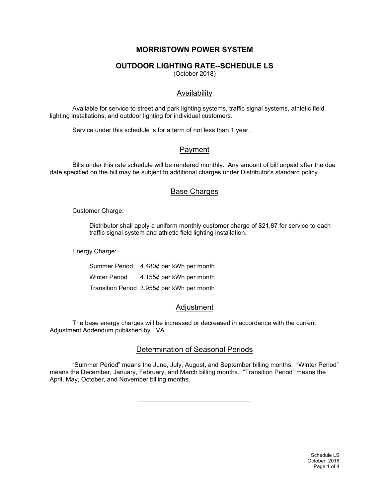# **MORRISTOWN POWER SYSTEM**

## **OUTDOOR LIGHTING RATE--SCHEDULE LS**

(October 2018)

## **Availability**

Available for service to street and park lighting systems, traffic signal systems, athletic field lighting installations, and outdoor lighting for individual customers.

Service under this schedule is for a term of not less than 1 year.

### Payment

Bills under this rate schedule will be rendered monthly. Any amount of bill unpaid after the due date specified on the bill may be subject to additional charges under Distributor's standard policy.

## **Base Charges**

Customer Charge:

Distributor shall apply a uniform monthly customer charge of \$21.87 for service to each traffic signal system and athletic field lighting installation.

Energy Charge:

|                      | Summer Period 4.480¢ per kWh per month     |
|----------------------|--------------------------------------------|
| <b>Winter Period</b> | 4.155¢ per kWh per month                   |
|                      | Transition Period 3.955¢ per kWh per month |

## Adjustment

The base energy charges will be increased or decreased in accordance with the current Adjustment Addendum published by TVA.

## Determination of Seasonal Periods

"Summer Period" means the June, July, August, and September billing months. "Winter Period" means the December, January, February, and March billing months. "Transition Period" means the April, May, October, and November billing months.

\_\_\_\_\_\_\_\_\_\_\_\_\_\_\_\_\_\_\_\_\_\_\_\_\_\_\_\_\_\_\_\_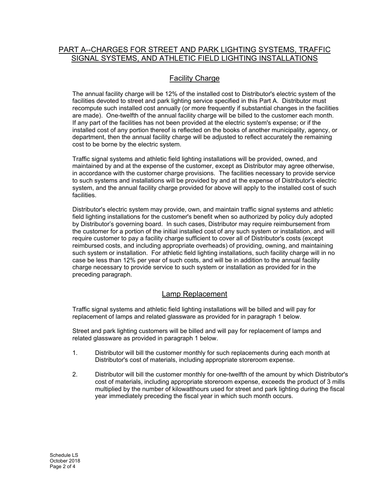# PART A--CHARGES FOR STREET AND PARK LIGHTING SYSTEMS, TRAFFIC SIGNAL SYSTEMS, AND ATHLETIC FIELD LIGHTING INSTALLATIONS

# Facility Charge

The annual facility charge will be 12% of the installed cost to Distributor's electric system of the facilities devoted to street and park lighting service specified in this Part A. Distributor must recompute such installed cost annually (or more frequently if substantial changes in the facilities are made). One-twelfth of the annual facility charge will be billed to the customer each month. If any part of the facilities has not been provided at the electric system's expense; or if the installed cost of any portion thereof is reflected on the books of another municipality, agency, or department, then the annual facility charge will be adjusted to reflect accurately the remaining cost to be borne by the electric system.

Traffic signal systems and athletic field lighting installations will be provided, owned, and maintained by and at the expense of the customer, except as Distributor may agree otherwise, in accordance with the customer charge provisions. The facilities necessary to provide service to such systems and installations will be provided by and at the expense of Distributor's electric system, and the annual facility charge provided for above will apply to the installed cost of such facilities.

Distributor's electric system may provide, own, and maintain traffic signal systems and athletic field lighting installations for the customer's benefit when so authorized by policy duly adopted by Distributor's governing board. In such cases, Distributor may require reimbursement from the customer for a portion of the initial installed cost of any such system or installation, and will require customer to pay a facility charge sufficient to cover all of Distributor's costs (except reimbursed costs, and including appropriate overheads) of providing, owning, and maintaining such system or installation. For athletic field lighting installations, such facility charge will in no case be less than 12% per year of such costs, and will be in addition to the annual facility charge necessary to provide service to such system or installation as provided for in the preceding paragraph.

## Lamp Replacement

Traffic signal systems and athletic field lighting installations will be billed and will pay for replacement of lamps and related glassware as provided for in paragraph 1 below.

Street and park lighting customers will be billed and will pay for replacement of lamps and related glassware as provided in paragraph 1 below.

- 1. Distributor will bill the customer monthly for such replacements during each month at Distributor's cost of materials, including appropriate storeroom expense.
- 2. Distributor will bill the customer monthly for one-twelfth of the amount by which Distributor's cost of materials, including appropriate storeroom expense, exceeds the product of 3 mills multiplied by the number of kilowatthours used for street and park lighting during the fiscal year immediately preceding the fiscal year in which such month occurs.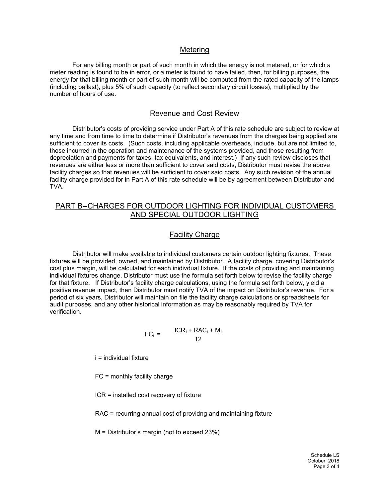#### Metering

For any billing month or part of such month in which the energy is not metered, or for which a meter reading is found to be in error, or a meter is found to have failed, then, for billing purposes, the energy for that billing month or part of such month will be computed from the rated capacity of the lamps (including ballast), plus 5% of such capacity (to reflect secondary circuit losses), multiplied by the number of hours of use.

### Revenue and Cost Review

Distributor's costs of providing service under Part A of this rate schedule are subject to review at any time and from time to time to determine if Distributor's revenues from the charges being applied are sufficient to cover its costs. (Such costs, including applicable overheads, include, but are not limited to, those incurred in the operation and maintenance of the systems provided, and those resulting from depreciation and payments for taxes, tax equivalents, and interest.) If any such review discloses that revenues are either less or more than sufficient to cover said costs, Distributor must revise the above facility charges so that revenues will be sufficient to cover said costs. Any such revision of the annual facility charge provided for in Part A of this rate schedule will be by agreement between Distributor and TVA.

## PART B--CHARGES FOR OUTDOOR LIGHTING FOR INDIVIDUAL CUSTOMERS AND SPECIAL OUTDOOR LIGHTING

### Facility Charge

Distributor will make available to individual customers certain outdoor lighting fixtures. These fixtures will be provided, owned, and maintained by Distributor. A facility charge, covering Distributor's cost plus margin, will be calculated for each inidivdual fixture. If the costs of providing and maintaining individual fixtures change, Distributor must use the formula set forth below to revise the facility charge for that fixture. If Distributor's facility charge calculations, using the formula set forth below, yield a positive revenue impact, then Distributor must notify TVA of the impact on Distributor's revenue. For a period of six years, Distributor will maintain on file the facility charge calculations or spreadsheets for audit purposes, and any other historical information as may be reasonably required by TVA for verification.

$$
FC_i = \frac{ICR_i + RAC_i + M_i}{12}
$$

i = individual fixture

FC = monthly facility charge

ICR = installed cost recovery of fixture

RAC = recurring annual cost of providng and maintaining fixture

M = Distributor's margin (not to exceed 23%)

Schedule LS October 2018 Page 3 of 4